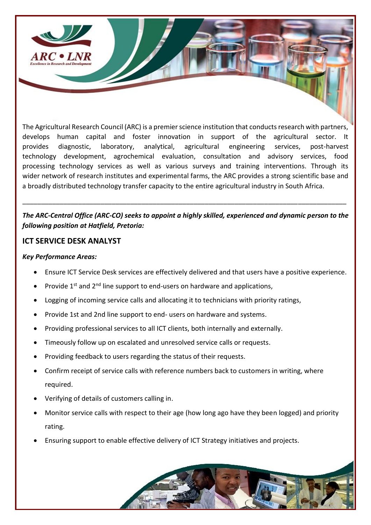

The Agricultural Research Council (ARC) is a premier science institution that conducts research with partners, develops human capital and foster innovation in support of the agricultural sector. It provides diagnostic, laboratory, analytical, agricultural engineering services, post-harvest technology development, agrochemical evaluation, consultation and advisory services, food processing technology services as well as various surveys and training interventions. Through its wider network of research institutes and experimental farms, the ARC provides a strong scientific base and a broadly distributed technology transfer capacity to the entire agricultural industry in South Africa.

## *The ARC-Central Office (ARC-CO) seeks to appoint a highly skilled, experienced and dynamic person to the following position at Hatfield, Pretoria:*

\_\_\_\_\_\_\_\_\_\_\_\_\_\_\_\_\_\_\_\_\_\_\_\_\_\_\_\_\_\_\_\_\_\_\_\_\_\_\_\_\_\_\_\_\_\_\_\_\_\_\_\_\_\_\_\_\_\_\_\_\_\_\_\_\_\_\_\_\_\_\_\_\_\_\_\_\_\_\_\_\_\_\_\_\_\_\_

### **ICT SERVICE DESK ANALYST**

#### *Key Performance Areas:*

- Ensure ICT Service Desk services are effectively delivered and that users have a positive experience.
- Provide  $1^{st}$  and  $2^{nd}$  line support to end-users on hardware and applications,
- Logging of incoming service calls and allocating it to technicians with priority ratings,
- Provide 1st and 2nd line support to end- users on hardware and systems.
- Providing professional services to all ICT clients, both internally and externally.
- Timeously follow up on escalated and unresolved service calls or requests.
- Providing feedback to users regarding the status of their requests.
- Confirm receipt of service calls with reference numbers back to customers in writing, where required.
- Verifying of details of customers calling in.
- Monitor service calls with respect to their age (how long ago have they been logged) and priority rating.
- Ensuring support to enable effective delivery of ICT Strategy initiatives and projects.